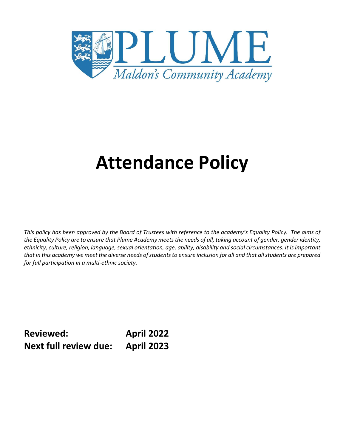

# **Attendance Policy**

*This policy has been approved by the Board of Trustees with reference to the academy's Equality Policy. The aims of the Equality Policy are to ensure that Plume Academy meets the needs of all, taking account of gender, gender identity, ethnicity, culture, religion, language, sexual orientation, age, ability, disability and social circumstances. It is important that in this academy we meet the diverse needs of students to ensure inclusion for all and that all students are prepared for full participation in a multi-ethnic society.*

**Reviewed: April 2022 Next full review due: April 2023**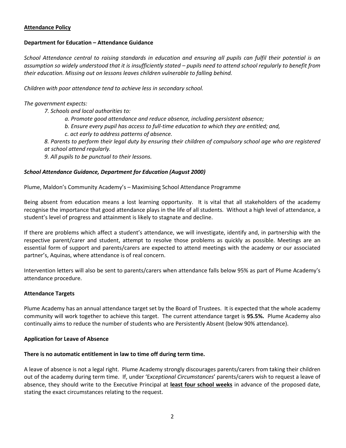#### **Attendance Policy**

#### **Department for Education – Attendance Guidance**

*School Attendance central to raising standards in education and ensuring all pupils can fulfil their potential is an*  assumption so widely understood that it is insufficiently stated – pupils need to attend school regularly to benefit from *their education. Missing out on lessons leaves children vulnerable to falling behind.* 

*Children with poor attendance tend to achieve less in secondary school.* 

*The government expects:* 

- *7. Schools and local authorities to:* 
	- *a. Promote good attendance and reduce absence, including persistent absence;*
	- *b. Ensure every pupil has access to full-time education to which they are entitled; and,*
	- *c. act early to address patterns of absence.*
- *8. Parents to perform their legal duty by ensuring their children of compulsory school age who are registered at school attend regularly.*
- *9. All pupils to be punctual to their lessons.*

## *School Attendance Guidance, Department for Education (August 2000)*

Plume, Maldon's Community Academy's – Maximising School Attendance Programme

Being absent from education means a lost learning opportunity. It is vital that all stakeholders of the academy recognise the importance that good attendance plays in the life of all students. Without a high level of attendance, a student's level of progress and attainment is likely to stagnate and decline.

If there are problems which affect a student's attendance, we will investigate, identify and, in partnership with the respective parent/carer and student, attempt to resolve those problems as quickly as possible. Meetings are an essential form of support and parents/carers are expected to attend meetings with the academy or our associated partner's, Aquinas, where attendance is of real concern.

Intervention letters will also be sent to parents/carers when attendance falls below 95% as part of Plume Academy's attendance procedure.

#### **Attendance Targets**

Plume Academy has an annual attendance target set by the Board of Trustees. It is expected that the whole academy community will work together to achieve this target. The current attendance target is **95.5%.** Plume Academy also continually aims to reduce the number of students who are Persistently Absent (below 90% attendance).

#### **Application for Leave of Absence**

#### **There is no automatic entitlement in law to time off during term time.**

A leave of absence is not a legal right. Plume Academy strongly discourages parents/carers from taking their children out of the academy during term time. If, under 'E*xceptional Circumstances*' parents/carers wish to request a leave of absence, they should write to the Executive Principal at **least four school weeks** in advance of the proposed date, stating the exact circumstances relating to the request.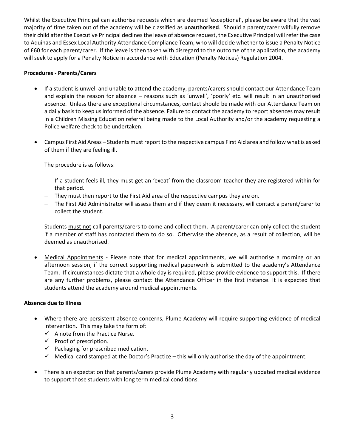Whilst the Executive Principal can authorise requests which are deemed 'exceptional', please be aware that the vast majority of time taken out of the academy will be classified as **unauthorised**. Should a parent/carer wilfully remove their child after the Executive Principal declines the leave of absence request, the Executive Principal will refer the case to Aquinas and Essex Local Authority Attendance Compliance Team, who will decide whether to issue a Penalty Notice of £60 for each parent/carer. If the leave is then taken with disregard to the outcome of the application, the academy will seek to apply for a Penalty Notice in accordance with Education (Penalty Notices) Regulation 2004.

#### **Procedures - Parents/Carers**

- If a student is unwell and unable to attend the academy, parents/carers should contact our Attendance Team and explain the reason for absence – reasons such as 'unwell', 'poorly' etc. will result in an unauthorised absence. Unless there are exceptional circumstances, contact should be made with our Attendance Team on a daily basis to keep us informed of the absence. Failure to contact the academy to report absences may result in a Children Missing Education referral being made to the Local Authority and/or the academy requesting a Police welfare check to be undertaken.
- Campus First Aid Areas Students must report to the respective campus First Aid area and follow what is asked of them if they are feeling ill.

The procedure is as follows:

- If a student feels ill, they must get an 'exeat' from the classroom teacher they are registered within for that period.
- They must then report to the First Aid area of the respective campus they are on.
- The First Aid Administrator will assess them and if they deem it necessary, will contact a parent/carer to collect the student.

Students must not call parents/carers to come and collect them. A parent/carer can only collect the student if a member of staff has contacted them to do so. Otherwise the absence, as a result of collection, will be deemed as unauthorised.

 Medical Appointments - Please note that for medical appointments, we will authorise a morning or an afternoon session, if the correct supporting medical paperwork is submitted to the academy's Attendance Team. If circumstances dictate that a whole day is required, please provide evidence to support this. If there are any further problems, please contact the Attendance Officer in the first instance. It is expected that students attend the academy around medical appointments.

#### **Absence due to Illness**

- Where there are persistent absence concerns, Plume Academy will require supporting evidence of medical intervention. This may take the form of:
	- $\checkmark$  A note from the Practice Nurse.
	- $\checkmark$  Proof of prescription.
	- $\checkmark$  Packaging for prescribed medication.
	- $\checkmark$  Medical card stamped at the Doctor's Practice this will only authorise the day of the appointment.
- There is an expectation that parents/carers provide Plume Academy with regularly updated medical evidence to support those students with long term medical conditions.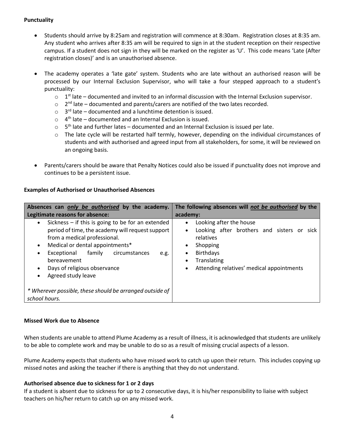## **Punctuality**

- Students should arrive by 8:25am and registration will commence at 8:30am. Registration closes at 8:35 am. Any student who arrives after 8:35 am will be required to sign in at the student reception on their respective campus. If a student does not sign in they will be marked on the register as 'U'. This code means 'Late (After registration closes)' and is an unauthorised absence.
- The academy operates a 'late gate' system. Students who are late without an authorised reason will be processed by our Internal Exclusion Supervisor, who will take a four stepped approach to a student's punctuality:
	- $\circ$  1<sup>st</sup> late documented and invited to an informal discussion with the Internal Exclusion supervisor.
	- $\circ$  2<sup>nd</sup> late documented and parents/carers are notified of the two lates recorded.
	- $\circ$  3<sup>rd</sup> late documented and a lunchtime detention is issued.
	- $\circ$  4<sup>th</sup> late documented and an Internal Exclusion is issued.
	- $\circ$  5<sup>th</sup> late and further lates documented and an Internal Exclusion is issued per late.
	- o The late cycle will be restarted half termly, however, depending on the individual circumstances of students and with authorised and agreed input from all stakeholders, for some, it will be reviewed on an ongoing basis.
- Parents/carers should be aware that Penalty Notices could also be issued if punctuality does not improve and continues to be a persistent issue.

#### **Examples of Authorised or Unauthorised Absences**

| Absences can only be authorised by the academy.                                                                                                                                                                                                                                                                                                                  | The following absences will not be authorised by the                                                                                                                                                                                                         |
|------------------------------------------------------------------------------------------------------------------------------------------------------------------------------------------------------------------------------------------------------------------------------------------------------------------------------------------------------------------|--------------------------------------------------------------------------------------------------------------------------------------------------------------------------------------------------------------------------------------------------------------|
| Legitimate reasons for absence:                                                                                                                                                                                                                                                                                                                                  | academy:                                                                                                                                                                                                                                                     |
| Sickness - if this is going to be for an extended<br>$\bullet$<br>period of time, the academy will request support<br>from a medical professional.<br>Medical or dental appointments*<br>$\bullet$<br>familv<br>circumstances<br>Exceptional<br>e.g.<br>$\bullet$<br>bereavement<br>Days of religious observance<br>$\bullet$<br>Agreed study leave<br>$\bullet$ | Looking after the house<br>$\bullet$<br>Looking after brothers and sisters or sick<br>$\bullet$<br>relatives<br>Shopping<br>$\bullet$<br><b>Birthdays</b><br>$\bullet$<br>Translating<br>$\bullet$<br>Attending relatives' medical appointments<br>$\bullet$ |
| * Wherever possible, these should be arranged outside of<br>school hours.                                                                                                                                                                                                                                                                                        |                                                                                                                                                                                                                                                              |

#### **Missed Work due to Absence**

When students are unable to attend Plume Academy as a result of illness, it is acknowledged that students are unlikely to be able to complete work and may be unable to do so as a result of missing crucial aspects of a lesson.

Plume Academy expects that students who have missed work to catch up upon their return. This includes copying up missed notes and asking the teacher if there is anything that they do not understand.

#### **Authorised absence due to sickness for 1 or 2 days**

If a student is absent due to sickness for up to 2 consecutive days, it is his/her responsibility to liaise with subject teachers on his/her return to catch up on any missed work.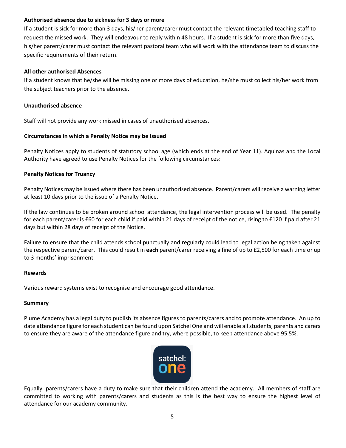## **Authorised absence due to sickness for 3 days or more**

If a student is sick for more than 3 days, his/her parent/carer must contact the relevant timetabled teaching staff to request the missed work. They will endeavour to reply within 48 hours. If a student is sick for more than five days, his/her parent/carer must contact the relevant pastoral team who will work with the attendance team to discuss the specific requirements of their return.

## **All other authorised Absences**

If a student knows that he/she will be missing one or more days of education, he/she must collect his/her work from the subject teachers prior to the absence.

#### **Unauthorised absence**

Staff will not provide any work missed in cases of unauthorised absences.

## **Circumstances in which a Penalty Notice may be Issued**

Penalty Notices apply to students of statutory school age (which ends at the end of Year 11). Aquinas and the Local Authority have agreed to use Penalty Notices for the following circumstances:

## **Penalty Notices for Truancy**

Penalty Notices may be issued where there has been unauthorised absence. Parent/carers will receive a warning letter at least 10 days prior to the issue of a Penalty Notice.

If the law continues to be broken around school attendance, the legal intervention process will be used. The penalty for each parent/carer is £60 for each child if paid within 21 days of receipt of the notice, rising to £120 if paid after 21 days but within 28 days of receipt of the Notice.

Failure to ensure that the child attends school punctually and regularly could lead to legal action being taken against the respective parent/carer. This could result in **each** parent/carer receiving a fine of up to £2,500 for each time or up to 3 months' imprisonment.

#### **Rewards**

Various reward systems exist to recognise and encourage good attendance.

#### **Summary**

Plume Academy has a legal duty to publish its absence figures to parents/carers and to promote attendance. An up to date attendance figure for each student can be found upon Satchel One and will enable all students, parents and carers to ensure they are aware of the attendance figure and try, where possible, to keep attendance above 95.5%.



Equally, parents/carers have a duty to make sure that their children attend the academy. All members of staff are committed to working with parents/carers and students as this is the best way to ensure the highest level of attendance for our academy community.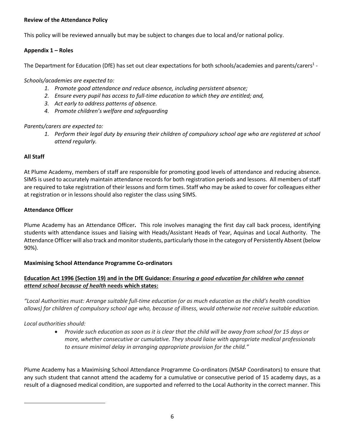## **Review of the Attendance Policy**

This policy will be reviewed annually but may be subject to changes due to local and/or national policy.

## **Appendix 1 – Roles**

The Department for Education (DfE) has set out clear expectations for both schools/academies and parents/carers<sup>1</sup> -

*Schools/academies are expected to:* 

- *1. Promote good attendance and reduce absence, including persistent absence;*
- *2. Ensure every pupil has access to full-time education to which they are entitled; and,*
- *3. Act early to address patterns of absence.*
- *4. Promote children's welfare and safeguarding*

# *Parents/carers are expected to:*

1. Perform their legal duty by ensuring their children of compulsory school age who are registered at school *attend regularly.*

# **All Staff**

At Plume Academy, members of staff are responsible for promoting good levels of attendance and reducing absence. SIMS is used to accurately maintain attendance records for both registration periods and lessons. All members of staff are required to take registration of their lessons and form times. Staff who may be asked to cover for colleagues either at registration or in lessons should also register the class using SIMS.

## **Attendance Officer**

Plume Academy has an Attendance Officer**.** This role involves managing the first day call back process, identifying students with attendance issues and liaising with Heads/Assistant Heads of Year, Aquinas and Local Authority. The Attendance Officer will also track and monitor students, particularly those in the category of Persistently Absent (below 90%).

# **Maximising School Attendance Programme Co-ordinators**

# Education Act 1996 (Section 19) and in the DfE Guidance: Ensuring a good education for children who cannot *attend school because of health* **needs which states:**

"Local Authorities must: Arrange suitable full-time education (or as much education as the child's health condition allows) for children of compulsory school age who, because of illness, would otherwise not receive suitable education.

*Local authorities should:*

l

• Provide such education as soon as it is clear that the child will be away from school for 15 days or *more, whether consecutive or cumulative. They should liaise with appropriate medical professionals to ensure minimal delay in arranging appropriate provision for the child."*

Plume Academy has a Maximising School Attendance Programme Co-ordinators (MSAP Coordinators) to ensure that any such student that cannot attend the academy for a cumulative or consecutive period of 15 academy days, as a result of a diagnosed medical condition, are supported and referred to the Local Authority in the correct manner. This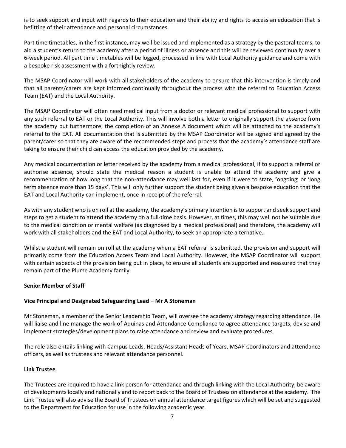is to seek support and input with regards to their education and their ability and rights to access an education that is befitting of their attendance and personal circumstances.

Part time timetables, in the first instance, may well be issued and implemented as a strategy by the pastoral teams, to aid a student's return to the academy after a period of illness or absence and this will be reviewed continually over a 6-week period. All part time timetables will be logged, processed in line with Local Authority guidance and come with a bespoke risk assessment with a fortnightly review.

The MSAP Coordinator will work with all stakeholders of the academy to ensure that this intervention is timely and that all parents/carers are kept informed continually throughout the process with the referral to Education Access Team (EAT) and the Local Authority.

The MSAP Coordinator will often need medical input from a doctor or relevant medical professional to support with any such referral to EAT or the Local Authority. This will involve both a letter to originally support the absence from the academy but furthermore, the completion of an Annexe A document which will be attached to the academy's referral to the EAT. All documentation that is submitted by the MSAP Coordinator will be signed and agreed by the parent/carer so that they are aware of the recommended steps and process that the academy's attendance staff are taking to ensure their child can access the education provided by the academy.

Any medical documentation or letter received by the academy from a medical professional, if to support a referral or authorise absence, should state the medical reason a student is unable to attend the academy and give a recommendation of how long that the non-attendance may well last for, even if it were to state, 'ongoing' or 'long term absence more than 15 days'. This will only further support the student being given a bespoke education that the EAT and Local Authority can implement, once in receipt of the referral.

As with any student who is on roll at the academy, the academy's primary intention is to support and seek support and steps to get a student to attend the academy on a full-time basis. However, at times, this may well not be suitable due to the medical condition or mental welfare (as diagnosed by a medical professional) and therefore, the academy will work with all stakeholders and the EAT and Local Authority, to seek an appropriate alternative.

Whilst a student will remain on roll at the academy when a EAT referral is submitted, the provision and support will primarily come from the Education Access Team and Local Authority. However, the MSAP Coordinator will support with certain aspects of the provision being put in place, to ensure all students are supported and reassured that they remain part of the Plume Academy family.

#### **Senior Member of Staff**

#### **Vice Principal and Designated Safeguarding Lead – Mr A Stoneman**

Mr Stoneman, a member of the Senior Leadership Team, will oversee the academy strategy regarding attendance. He will liaise and line manage the work of Aquinas and Attendance Compliance to agree attendance targets, devise and implement strategies/development plans to raise attendance and review and evaluate procedures.

The role also entails linking with Campus Leads, Heads/Assistant Heads of Years, MSAP Coordinators and attendance officers, as well as trustees and relevant attendance personnel.

#### **Link Trustee**

The Trustees are required to have a link person for attendance and through linking with the Local Authority, be aware of developments locally and nationally and to report back to the Board of Trustees on attendance at the academy. The Link Trustee will also advise the Board of Trustees on annual attendance target figures which will be set and suggested to the Department for Education for use in the following academic year.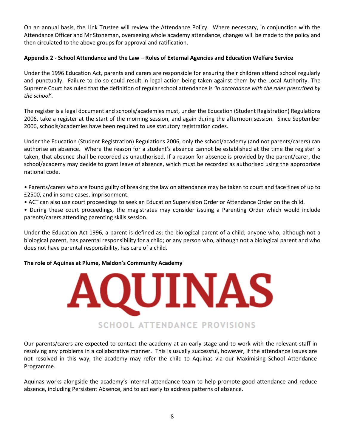On an annual basis, the Link Trustee will review the Attendance Policy. Where necessary, in conjunction with the Attendance Officer and Mr Stoneman, overseeing whole academy attendance, changes will be made to the policy and then circulated to the above groups for approval and ratification.

#### **Appendix 2 - School Attendance and the Law – Roles of External Agencies and Education Welfare Service**

Under the 1996 Education Act, parents and carers are responsible for ensuring their children attend school regularly and punctually. Failure to do so could result in legal action being taken against them by the Local Authority. The Supreme Court has ruled that the definition of regular school attendance is *'in accordance with the rules prescribed by the school'*.

The register is a legal document and schools/academies must, under the Education (Student Registration) Regulations 2006, take a register at the start of the morning session, and again during the afternoon session. Since September 2006, schools/academies have been required to use statutory registration codes.

Under the Education (Student Registration) Regulations 2006, only the school/academy (and not parents/carers) can authorise an absence. Where the reason for a student's absence cannot be established at the time the register is taken, that absence shall be recorded as unauthorised. If a reason for absence is provided by the parent/carer, the school/academy may decide to grant leave of absence, which must be recorded as authorised using the appropriate national code.

• Parents/carers who are found guilty of breaking the law on attendance may be taken to court and face fines of up to £2500, and in some cases, imprisonment.

• ACT can also use court proceedings to seek an Education Supervision Order or Attendance Order on the child.

• During these court proceedings, the magistrates may consider issuing a Parenting Order which would include parents/carers attending parenting skills session.

Under the Education Act 1996, a parent is defined as: the biological parent of a child; anyone who, although not a biological parent, has parental responsibility for a child; or any person who, although not a biological parent and who does not have parental responsibility, has care of a child.

#### **The role of Aquinas at Plume, Maldon's Community Academy**



Our parents/carers are expected to contact the academy at an early stage and to work with the relevant staff in resolving any problems in a collaborative manner. This is usually successful, however, if the attendance issues are not resolved in this way, the academy may refer the child to Aquinas via our Maximising School Attendance Programme.

Aquinas works alongside the academy's internal attendance team to help promote good attendance and reduce absence, including Persistent Absence, and to act early to address patterns of absence.